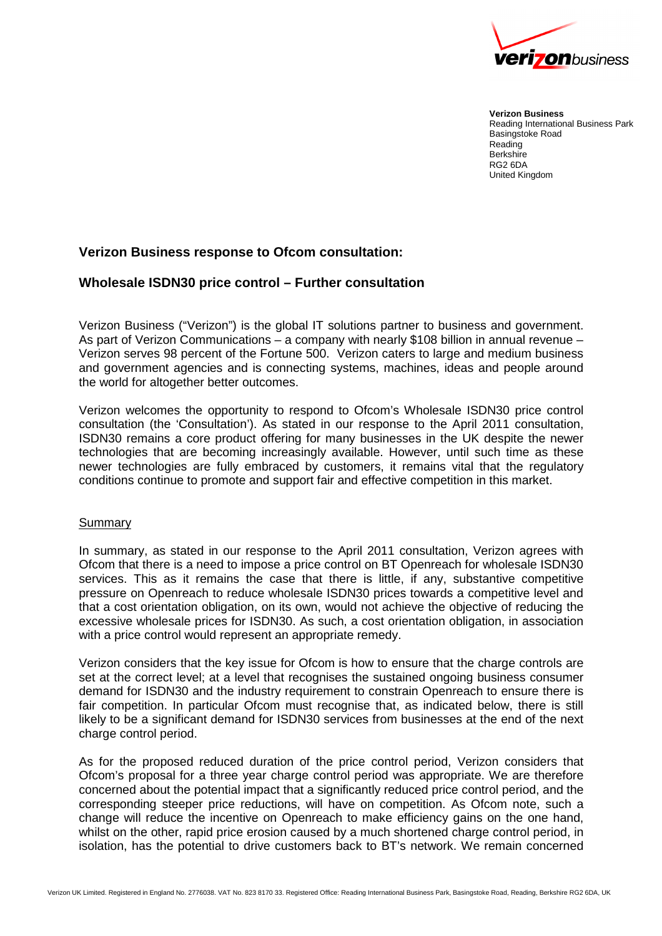

**Verizon Business** Reading International Business Park Basingstoke Road Reading **Berkshire** RG2 6DA United Kingdom

## **Verizon Business response to Ofcom consultation:**

## **Wholesale ISDN30 price control – Further consultation**

Verizon Business ("Verizon") is the global IT solutions partner to business and government. As part of Verizon Communications – a company with nearly \$108 billion in annual revenue – Verizon serves 98 percent of the Fortune 500. Verizon caters to large and medium business and government agencies and is connecting systems, machines, ideas and people around the world for altogether better outcomes.

Verizon welcomes the opportunity to respond to Ofcom's Wholesale ISDN30 price control consultation (the 'Consultation'). As stated in our response to the April 2011 consultation, ISDN30 remains a core product offering for many businesses in the UK despite the newer technologies that are becoming increasingly available. However, until such time as these newer technologies are fully embraced by customers, it remains vital that the regulatory conditions continue to promote and support fair and effective competition in this market.

## Summary

In summary, as stated in our response to the April 2011 consultation, Verizon agrees with Ofcom that there is a need to impose a price control on BT Openreach for wholesale ISDN30 services. This as it remains the case that there is little, if any, substantive competitive pressure on Openreach to reduce wholesale ISDN30 prices towards a competitive level and that a cost orientation obligation, on its own, would not achieve the objective of reducing the excessive wholesale prices for ISDN30. As such, a cost orientation obligation, in association with a price control would represent an appropriate remedy.

Verizon considers that the key issue for Ofcom is how to ensure that the charge controls are set at the correct level; at a level that recognises the sustained ongoing business consumer demand for ISDN30 and the industry requirement to constrain Openreach to ensure there is fair competition. In particular Ofcom must recognise that, as indicated below, there is still likely to be a significant demand for ISDN30 services from businesses at the end of the next charge control period.

As for the proposed reduced duration of the price control period, Verizon considers that Ofcom's proposal for a three year charge control period was appropriate. We are therefore concerned about the potential impact that a significantly reduced price control period, and the corresponding steeper price reductions, will have on competition. As Ofcom note, such a change will reduce the incentive on Openreach to make efficiency gains on the one hand, whilst on the other, rapid price erosion caused by a much shortened charge control period, in isolation, has the potential to drive customers back to BT's network. We remain concerned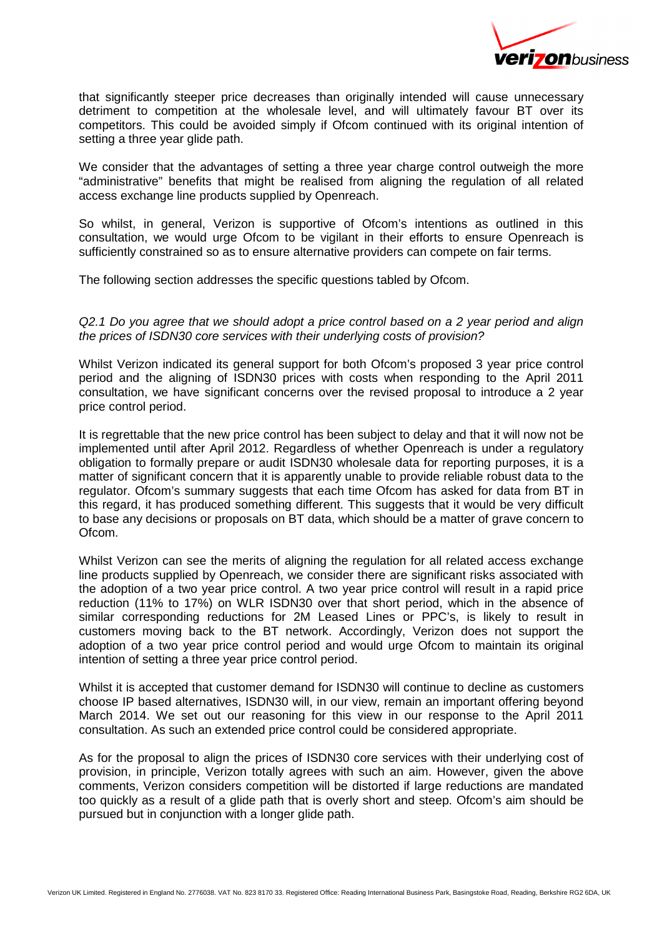

that significantly steeper price decreases than originally intended will cause unnecessary detriment to competition at the wholesale level, and will ultimately favour BT over its competitors. This could be avoided simply if Ofcom continued with its original intention of setting a three year glide path.

We consider that the advantages of setting a three year charge control outweigh the more "administrative" benefits that might be realised from aligning the regulation of all related access exchange line products supplied by Openreach.

So whilst, in general, Verizon is supportive of Ofcom's intentions as outlined in this consultation, we would urge Ofcom to be vigilant in their efforts to ensure Openreach is sufficiently constrained so as to ensure alternative providers can compete on fair terms.

The following section addresses the specific questions tabled by Ofcom.

Q2.1 Do you agree that we should adopt a price control based on a 2 year period and align the prices of ISDN30 core services with their underlying costs of provision?

Whilst Verizon indicated its general support for both Ofcom's proposed 3 year price control period and the aligning of ISDN30 prices with costs when responding to the April 2011 consultation, we have significant concerns over the revised proposal to introduce a 2 year price control period.

It is regrettable that the new price control has been subject to delay and that it will now not be implemented until after April 2012. Regardless of whether Openreach is under a regulatory obligation to formally prepare or audit ISDN30 wholesale data for reporting purposes, it is a matter of significant concern that it is apparently unable to provide reliable robust data to the regulator. Ofcom's summary suggests that each time Ofcom has asked for data from BT in this regard, it has produced something different. This suggests that it would be very difficult to base any decisions or proposals on BT data, which should be a matter of grave concern to Ofcom.

Whilst Verizon can see the merits of aligning the regulation for all related access exchange line products supplied by Openreach, we consider there are significant risks associated with the adoption of a two year price control. A two year price control will result in a rapid price reduction (11% to 17%) on WLR ISDN30 over that short period, which in the absence of similar corresponding reductions for 2M Leased Lines or PPC's, is likely to result in customers moving back to the BT network. Accordingly, Verizon does not support the adoption of a two year price control period and would urge Ofcom to maintain its original intention of setting a three year price control period.

Whilst it is accepted that customer demand for ISDN30 will continue to decline as customers choose IP based alternatives, ISDN30 will, in our view, remain an important offering beyond March 2014. We set out our reasoning for this view in our response to the April 2011 consultation. As such an extended price control could be considered appropriate.

As for the proposal to align the prices of ISDN30 core services with their underlying cost of provision, in principle, Verizon totally agrees with such an aim. However, given the above comments, Verizon considers competition will be distorted if large reductions are mandated too quickly as a result of a glide path that is overly short and steep. Ofcom's aim should be pursued but in conjunction with a longer glide path.